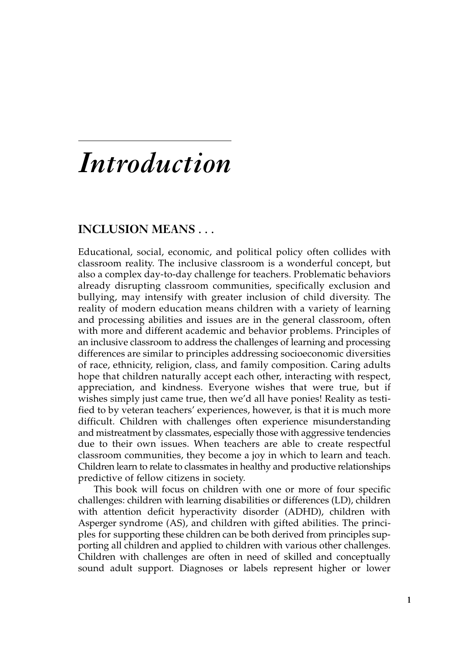# *Introduction*

## **INCLUSION MEANS ...**

Educational, social, economic, and political policy often collides with classroom reality. The inclusive classroom is a wonderful concept, but also a complex day-to-day challenge for teachers. Problematic behaviors already disrupting classroom communities, specifically exclusion and bullying, may intensify with greater inclusion of child diversity. The reality of modern education means children with a variety of learning and processing abilities and issues are in the general classroom, often with more and different academic and behavior problems. Principles of an inclusive classroom to address the challenges of learning and processing differences are similar to principles addressing socioeconomic diversities of race, ethnicity, religion, class, and family composition. Caring adults hope that children naturally accept each other, interacting with respect, appreciation, and kindness. Everyone wishes that were true, but if wishes simply just came true, then we'd all have ponies! Reality as testified to by veteran teachers' experiences, however, is that it is much more difficult. Children with challenges often experience misunderstanding and mistreatment by classmates, especially those with aggressive tendencies due to their own issues. When teachers are able to create respectful classroom communities, they become a joy in which to learn and teach. Children learn to relate to classmates in healthy and productive relationships predictive of fellow citizens in society.

This book will focus on children with one or more of four specific challenges: children with learning disabilities or differences (LD), children with attention deficit hyperactivity disorder (ADHD), children with Asperger syndrome (AS), and children with gifted abilities. The principles for supporting these children can be both derived from principles supporting all children and applied to children with various other challenges. Children with challenges are often in need of skilled and conceptually sound adult support. Diagnoses or labels represent higher or lower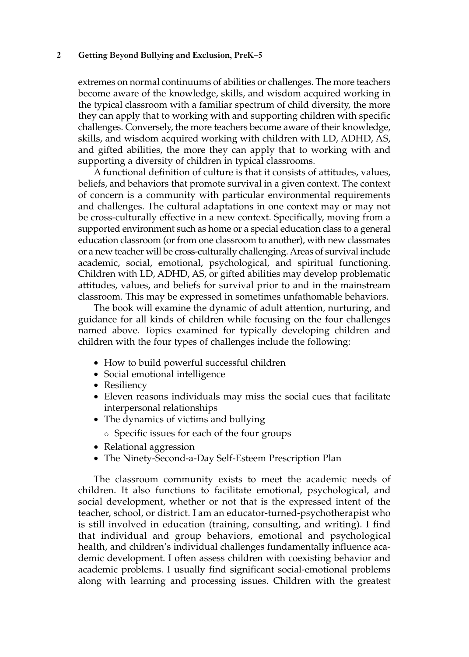#### **2 Getting Beyond Bullying and Exclusion, PreK–5**

extremes on normal continuums of abilities or challenges. The more teachers become aware of the knowledge, skills, and wisdom acquired working in the typical classroom with a familiar spectrum of child diversity, the more they can apply that to working with and supporting children with specific challenges. Conversely, the more teachers become aware of their knowledge, skills, and wisdom acquired working with children with LD, ADHD, AS, and gifted abilities, the more they can apply that to working with and supporting a diversity of children in typical classrooms.

A functional definition of culture is that it consists of attitudes, values, beliefs, and behaviors that promote survival in a given context. The context of concern is a community with particular environmental requirements and challenges. The cultural adaptations in one context may or may not be cross-culturally effective in a new context. Specifically, moving from a supported environment such as home or a special education class to a general education classroom (or from one classroom to another), with new classmates or a new teacher will be cross-culturally challenging.Areas of survival include academic, social, emotional, psychological, and spiritual functioning. Children with LD, ADHD, AS, or gifted abilities may develop problematic attitudes, values, and beliefs for survival prior to and in the mainstream classroom. This may be expressed in sometimes unfathomable behaviors.

The book will examine the dynamic of adult attention, nurturing, and guidance for all kinds of children while focusing on the four challenges named above. Topics examined for typically developing children and children with the four types of challenges include the following:

- How to build powerful successful children
- Social emotional intelligence
- Resiliency
- Eleven reasons individuals may miss the social cues that facilitate interpersonal relationships
- The dynamics of victims and bullying
	- Specific issues for each of the four groups
- Relational aggression
- The Ninety-Second-a-Day Self-Esteem Prescription Plan

The classroom community exists to meet the academic needs of children. It also functions to facilitate emotional, psychological, and social development, whether or not that is the expressed intent of the teacher, school, or district. I am an educator-turned-psychotherapist who is still involved in education (training, consulting, and writing). I find that individual and group behaviors, emotional and psychological health, and children's individual challenges fundamentally influence academic development. I often assess children with coexisting behavior and academic problems. I usually find significant social-emotional problems along with learning and processing issues. Children with the greatest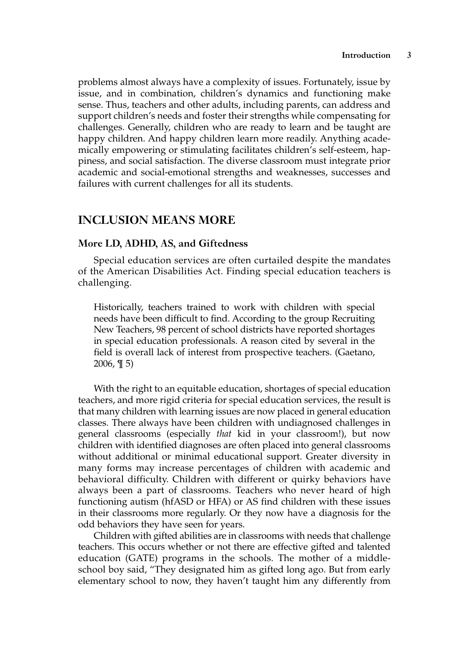problems almost always have a complexity of issues. Fortunately, issue by issue, and in combination, children's dynamics and functioning make sense. Thus, teachers and other adults, including parents, can address and support children's needs and foster their strengths while compensating for challenges. Generally, children who are ready to learn and be taught are happy children. And happy children learn more readily. Anything academically empowering or stimulating facilitates children's self-esteem, happiness, and social satisfaction. The diverse classroom must integrate prior academic and social-emotional strengths and weaknesses, successes and failures with current challenges for all its students.

## **INCLUSION MEANS MORE**

#### **More LD, ADHD, AS, and Giftedness**

Special education services are often curtailed despite the mandates of the American Disabilities Act. Finding special education teachers is challenging.

Historically, teachers trained to work with children with special needs have been difficult to find. According to the group Recruiting New Teachers, 98 percent of school districts have reported shortages in special education professionals. A reason cited by several in the field is overall lack of interest from prospective teachers. (Gaetano, 2006, ¶ 5)

With the right to an equitable education, shortages of special education teachers, and more rigid criteria for special education services, the result is that many children with learning issues are now placed in general education classes. There always have been children with undiagnosed challenges in general classrooms (especially *that* kid in your classroom!), but now children with identified diagnoses are often placed into general classrooms without additional or minimal educational support. Greater diversity in many forms may increase percentages of children with academic and behavioral difficulty. Children with different or quirky behaviors have always been a part of classrooms. Teachers who never heard of high functioning autism (hfASD or HFA) or AS find children with these issues in their classrooms more regularly. Or they now have a diagnosis for the odd behaviors they have seen for years.

Children with gifted abilities are in classrooms with needs that challenge teachers. This occurs whether or not there are effective gifted and talented education (GATE) programs in the schools. The mother of a middleschool boy said, "They designated him as gifted long ago. But from early elementary school to now, they haven't taught him any differently from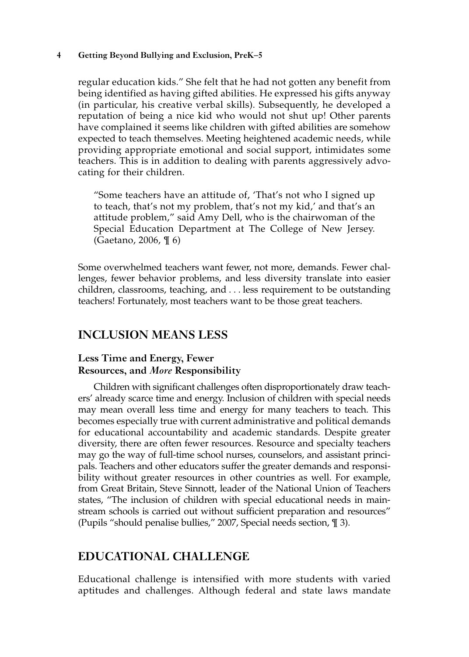#### **4 Getting Beyond Bullying and Exclusion, PreK–5**

regular education kids." She felt that he had not gotten any benefit from being identified as having gifted abilities. He expressed his gifts anyway (in particular, his creative verbal skills). Subsequently, he developed a reputation of being a nice kid who would not shut up! Other parents have complained it seems like children with gifted abilities are somehow expected to teach themselves. Meeting heightened academic needs, while providing appropriate emotional and social support, intimidates some teachers. This is in addition to dealing with parents aggressively advocating for their children.

"Some teachers have an attitude of, 'That's not who I signed up to teach, that's not my problem, that's not my kid,' and that's an attitude problem," said Amy Dell, who is the chairwoman of the Special Education Department at The College of New Jersey. (Gaetano, 2006, ¶ 6)

Some overwhelmed teachers want fewer, not more, demands. Fewer challenges, fewer behavior problems, and less diversity translate into easier children, classrooms, teaching, and ... less requirement to be outstanding teachers! Fortunately, most teachers want to be those great teachers.

## **INCLUSION MEANS LESS**

#### **Less Time and Energy, Fewer Resources, and** *More* **Responsibility**

Children with significant challenges often disproportionately draw teachers' already scarce time and energy. Inclusion of children with special needs may mean overall less time and energy for many teachers to teach. This becomes especially true with current administrative and political demands for educational accountability and academic standards. Despite greater diversity, there are often fewer resources. Resource and specialty teachers may go the way of full-time school nurses, counselors, and assistant principals. Teachers and other educators suffer the greater demands and responsibility without greater resources in other countries as well. For example, from Great Britain, Steve Sinnott, leader of the National Union of Teachers states, "The inclusion of children with special educational needs in mainstream schools is carried out without sufficient preparation and resources" (Pupils "should penalise bullies," 2007, Special needs section, ¶ 3).

## **EDUCATIONAL CHALLENGE**

Educational challenge is intensified with more students with varied aptitudes and challenges. Although federal and state laws mandate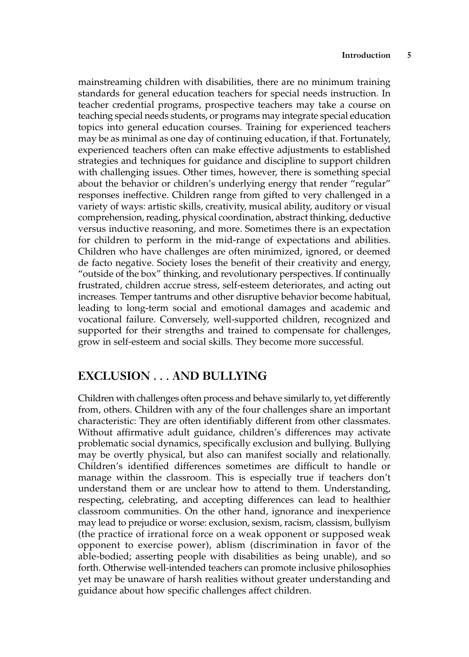mainstreaming children with disabilities, there are no minimum training standards for general education teachers for special needs instruction. In teacher credential programs, prospective teachers may take a course on teaching special needs students, or programs may integrate special education topics into general education courses. Training for experienced teachers may be as minimal as one day of continuing education, if that. Fortunately, experienced teachers often can make effective adjustments to established strategies and techniques for guidance and discipline to support children with challenging issues. Other times, however, there is something special about the behavior or children's underlying energy that render "regular" responses ineffective. Children range from gifted to very challenged in a variety of ways: artistic skills, creativity, musical ability, auditory or visual comprehension, reading, physical coordination, abstract thinking, deductive versus inductive reasoning, and more. Sometimes there is an expectation for children to perform in the mid-range of expectations and abilities. Children who have challenges are often minimized, ignored, or deemed de facto negative. Society loses the benefit of their creativity and energy, "outside of the box" thinking, and revolutionary perspectives. If continually frustrated, children accrue stress, self-esteem deteriorates, and acting out increases. Temper tantrums and other disruptive behavior become habitual, leading to long-term social and emotional damages and academic and vocational failure. Conversely, well-supported children, recognized and supported for their strengths and trained to compensate for challenges, grow in self-esteem and social skills. They become more successful.

# **EXCLUSION ... AND BULLYING**

Children with challenges often process and behave similarly to, yet differently from, others. Children with any of the four challenges share an important characteristic: They are often identifiably different from other classmates. Without affirmative adult guidance, children's differences may activate problematic social dynamics, specifically exclusion and bullying. Bullying may be overtly physical, but also can manifest socially and relationally. Children's identified differences sometimes are difficult to handle or manage within the classroom. This is especially true if teachers don't understand them or are unclear how to attend to them. Understanding, respecting, celebrating, and accepting differences can lead to healthier classroom communities. On the other hand, ignorance and inexperience may lead to prejudice or worse: exclusion, sexism, racism, classism, bullyism (the practice of irrational force on a weak opponent or supposed weak opponent to exercise power), ablism (discrimination in favor of the able-bodied; asserting people with disabilities as being unable), and so forth. Otherwise well-intended teachers can promote inclusive philosophies yet may be unaware of harsh realities without greater understanding and guidance about how specific challenges affect children.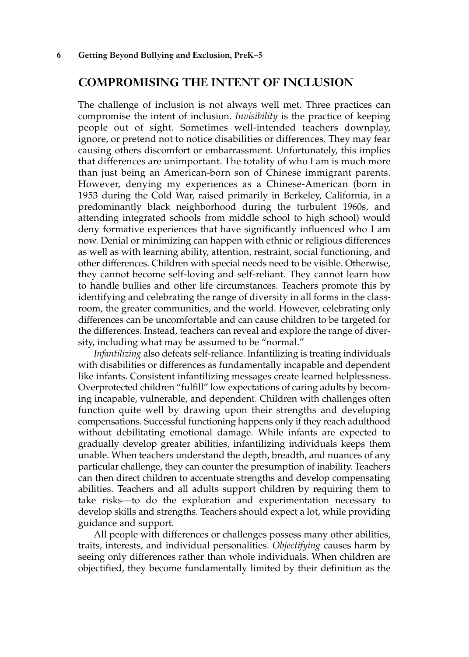#### **COMPROMISING THE INTENT OF INCLUSION**

The challenge of inclusion is not always well met. Three practices can compromise the intent of inclusion. *Invisibility* is the practice of keeping people out of sight. Sometimes well-intended teachers downplay, ignore, or pretend not to notice disabilities or differences. They may fear causing others discomfort or embarrassment. Unfortunately, this implies that differences are unimportant. The totality of who I am is much more than just being an American-born son of Chinese immigrant parents. However, denying my experiences as a Chinese-American (born in 1953 during the Cold War, raised primarily in Berkeley, California, in a predominantly black neighborhood during the turbulent 1960s, and attending integrated schools from middle school to high school) would deny formative experiences that have significantly influenced who I am now. Denial or minimizing can happen with ethnic or religious differences as well as with learning ability, attention, restraint, social functioning, and other differences. Children with special needs need to be visible. Otherwise, they cannot become self-loving and self-reliant. They cannot learn how to handle bullies and other life circumstances. Teachers promote this by identifying and celebrating the range of diversity in all forms in the classroom, the greater communities, and the world. However, celebrating only differences can be uncomfortable and can cause children to be targeted for the differences. Instead, teachers can reveal and explore the range of diversity, including what may be assumed to be "normal."

*Infantilizing* also defeats self-reliance. Infantilizing is treating individuals with disabilities or differences as fundamentally incapable and dependent like infants. Consistent infantilizing messages create learned helplessness. Overprotected children "fulfill" low expectations of caring adults by becoming incapable, vulnerable, and dependent. Children with challenges often function quite well by drawing upon their strengths and developing compensations. Successful functioning happens only if they reach adulthood without debilitating emotional damage. While infants are expected to gradually develop greater abilities, infantilizing individuals keeps them unable. When teachers understand the depth, breadth, and nuances of any particular challenge, they can counter the presumption of inability. Teachers can then direct children to accentuate strengths and develop compensating abilities. Teachers and all adults support children by requiring them to take risks—to do the exploration and experimentation necessary to develop skills and strengths. Teachers should expect a lot, while providing guidance and support.

All people with differences or challenges possess many other abilities, traits, interests, and individual personalities. *Objectifying* causes harm by seeing only differences rather than whole individuals. When children are objectified, they become fundamentally limited by their definition as the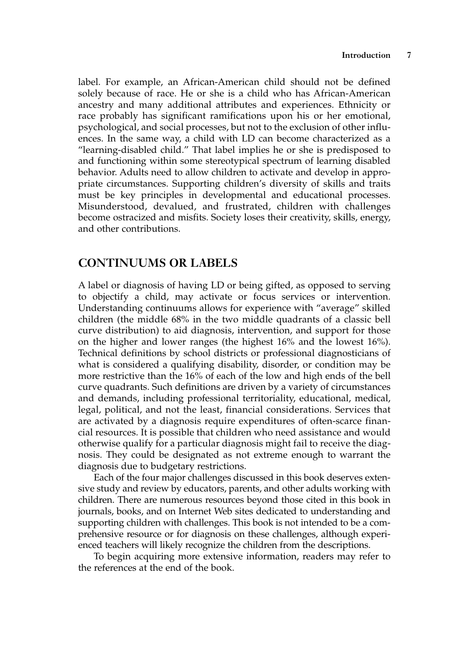label. For example, an African-American child should not be defined solely because of race. He or she is a child who has African-American ancestry and many additional attributes and experiences. Ethnicity or race probably has significant ramifications upon his or her emotional, psychological, and social processes, but not to the exclusion of other influences. In the same way, a child with LD can become characterized as a "learning-disabled child." That label implies he or she is predisposed to and functioning within some stereotypical spectrum of learning disabled behavior. Adults need to allow children to activate and develop in appropriate circumstances. Supporting children's diversity of skills and traits must be key principles in developmental and educational processes. Misunderstood, devalued, and frustrated, children with challenges become ostracized and misfits. Society loses their creativity, skills, energy, and other contributions.

### **CONTINUUMS OR LABELS**

A label or diagnosis of having LD or being gifted, as opposed to serving to objectify a child, may activate or focus services or intervention. Understanding continuums allows for experience with "average" skilled children (the middle 68% in the two middle quadrants of a classic bell curve distribution) to aid diagnosis, intervention, and support for those on the higher and lower ranges (the highest 16% and the lowest 16%). Technical definitions by school districts or professional diagnosticians of what is considered a qualifying disability, disorder, or condition may be more restrictive than the 16% of each of the low and high ends of the bell curve quadrants. Such definitions are driven by a variety of circumstances and demands, including professional territoriality, educational, medical, legal, political, and not the least, financial considerations. Services that are activated by a diagnosis require expenditures of often-scarce financial resources. It is possible that children who need assistance and would otherwise qualify for a particular diagnosis might fail to receive the diagnosis. They could be designated as not extreme enough to warrant the diagnosis due to budgetary restrictions.

Each of the four major challenges discussed in this book deserves extensive study and review by educators, parents, and other adults working with children. There are numerous resources beyond those cited in this book in journals, books, and on Internet Web sites dedicated to understanding and supporting children with challenges. This book is not intended to be a comprehensive resource or for diagnosis on these challenges, although experienced teachers will likely recognize the children from the descriptions.

To begin acquiring more extensive information, readers may refer to the references at the end of the book.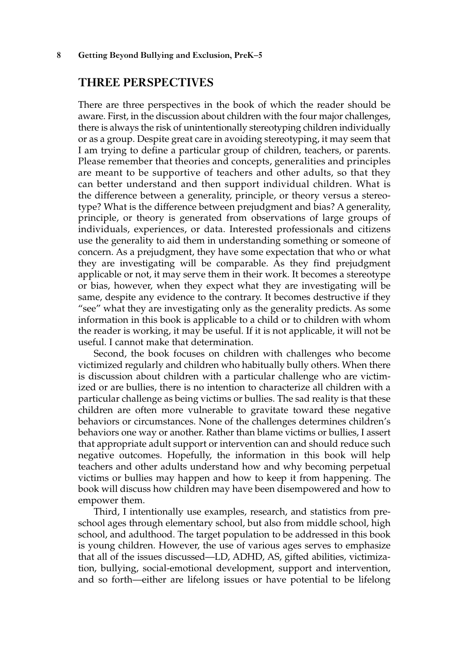#### **8 Getting Beyond Bullying and Exclusion, PreK–5**

#### **THREE PERSPECTIVES**

There are three perspectives in the book of which the reader should be aware. First, in the discussion about children with the four major challenges, there is always the risk of unintentionally stereotyping children individually or as a group. Despite great care in avoiding stereotyping, it may seem that I am trying to define a particular group of children, teachers, or parents. Please remember that theories and concepts, generalities and principles are meant to be supportive of teachers and other adults, so that they can better understand and then support individual children. What is the difference between a generality, principle, or theory versus a stereotype? What is the difference between prejudgment and bias? A generality, principle, or theory is generated from observations of large groups of individuals, experiences, or data. Interested professionals and citizens use the generality to aid them in understanding something or someone of concern. As a prejudgment, they have some expectation that who or what they are investigating will be comparable. As they find prejudgment applicable or not, it may serve them in their work. It becomes a stereotype or bias, however, when they expect what they are investigating will be same, despite any evidence to the contrary. It becomes destructive if they "see" what they are investigating only as the generality predicts. As some information in this book is applicable to a child or to children with whom the reader is working, it may be useful. If it is not applicable, it will not be useful. I cannot make that determination.

Second, the book focuses on children with challenges who become victimized regularly and children who habitually bully others. When there is discussion about children with a particular challenge who are victimized or are bullies, there is no intention to characterize all children with a particular challenge as being victims or bullies. The sad reality is that these children are often more vulnerable to gravitate toward these negative behaviors or circumstances. None of the challenges determines children's behaviors one way or another. Rather than blame victims or bullies, I assert that appropriate adult support or intervention can and should reduce such negative outcomes. Hopefully, the information in this book will help teachers and other adults understand how and why becoming perpetual victims or bullies may happen and how to keep it from happening. The book will discuss how children may have been disempowered and how to empower them.

Third, I intentionally use examples, research, and statistics from preschool ages through elementary school, but also from middle school, high school, and adulthood. The target population to be addressed in this book is young children. However, the use of various ages serves to emphasize that all of the issues discussed—LD, ADHD, AS, gifted abilities, victimization, bullying, social-emotional development, support and intervention, and so forth—either are lifelong issues or have potential to be lifelong